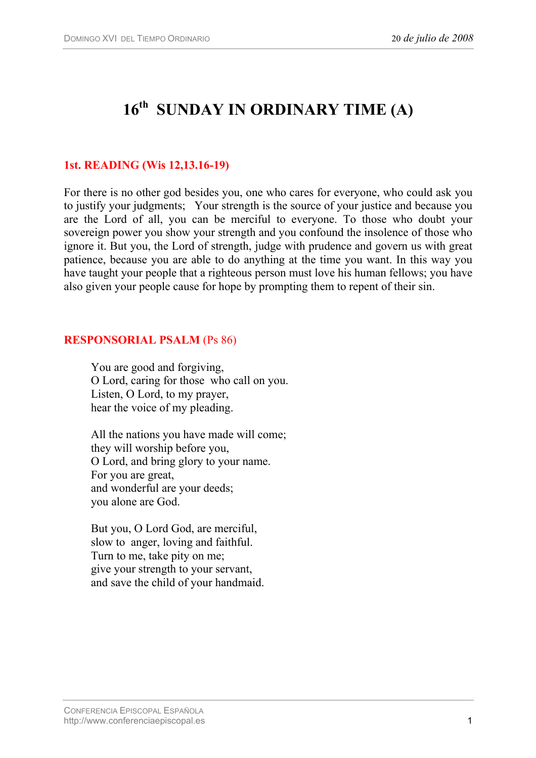# 16<sup>th</sup> SUNDAY IN ORDINARY TIME (A)

## **1st. READING (Wis 12,13.16-19)**

For there is no other god besides you, one who cares for everyone, who could ask you to justify your judgments; Your strength is the source of your justice and because you are the Lord of all, you can be merciful to everyone. To those who doubt your sovereign power you show your strength and you confound the insolence of those who ignore it. But you, the Lord of strength, judge with prudence and govern us with great patience, because you are able to do anything at the time you want. In this way you have taught your people that a righteous person must love his human fellows; you have also given your people cause for hope by prompting them to repent of their sin.

#### **RESPONSORIAL PSALM** (Ps 86)

You are good and forgiving, O Lord, caring for those who call on you. Listen, O Lord, to my prayer, hear the voice of my pleading.

All the nations you have made will come; they will worship before you, O Lord, and bring glory to your name. For you are great, and wonderful are your deeds; you alone are God.

But you, O Lord God, are merciful, slow to anger, loving and faithful. Turn to me, take pity on me; give your strength to your servant, and save the child of your handmaid.